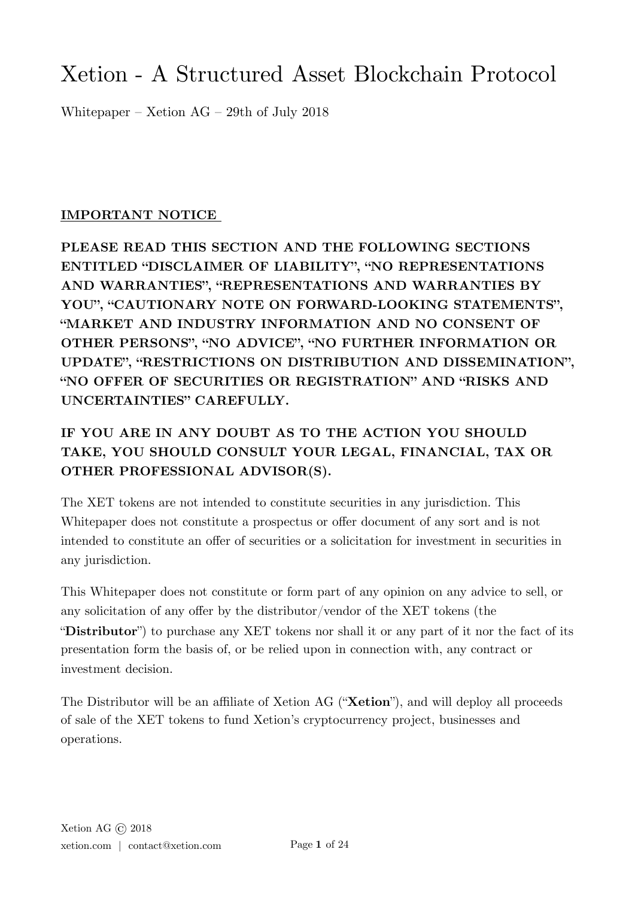# Xetion - A Structured Asset Blockchain Protocol

Whitepaper – Xetion AG – 29th of July 2018

# **IMPORTANT NOTICE**

**PLEASE READ THIS SECTION AND THE FOLLOWING SECTIONS ENTITLED "DISCLAIMER OF LIABILITY", "NO REPRESENTATIONS AND WARRANTIES", "REPRESENTATIONS AND WARRANTIES BY YOU", "CAUTIONARY NOTE ON FORWARD-LOOKING STATEMENTS", "MARKET AND INDUSTRY INFORMATION AND NO CONSENT OF OTHER PERSONS", "NO ADVICE", "NO FURTHER INFORMATION OR UPDATE", "RESTRICTIONS ON DISTRIBUTION AND DISSEMINATION", "NO OFFER OF SECURITIES OR REGISTRATION" AND "RISKS AND UNCERTAINTIES" CAREFULLY.** 

# **IF YOU ARE IN ANY DOUBT AS TO THE ACTION YOU SHOULD TAKE, YOU SHOULD CONSULT YOUR LEGAL, FINANCIAL, TAX OR OTHER PROFESSIONAL ADVISOR(S).**

The XET tokens are not intended to constitute securities in any jurisdiction. This Whitepaper does not constitute a prospectus or offer document of any sort and is not intended to constitute an offer of securities or a solicitation for investment in securities in any jurisdiction.

This Whitepaper does not constitute or form part of any opinion on any advice to sell, or any solicitation of any offer by the distributor/vendor of the XET tokens (the "**Distributor**") to purchase any XET tokens nor shall it or any part of it nor the fact of its presentation form the basis of, or be relied upon in connection with, any contract or investment decision.

The Distributor will be an affiliate of Xetion AG ("**Xetion**"), and will deploy all proceeds of sale of the XET tokens to fund Xetion's cryptocurrency project, businesses and operations.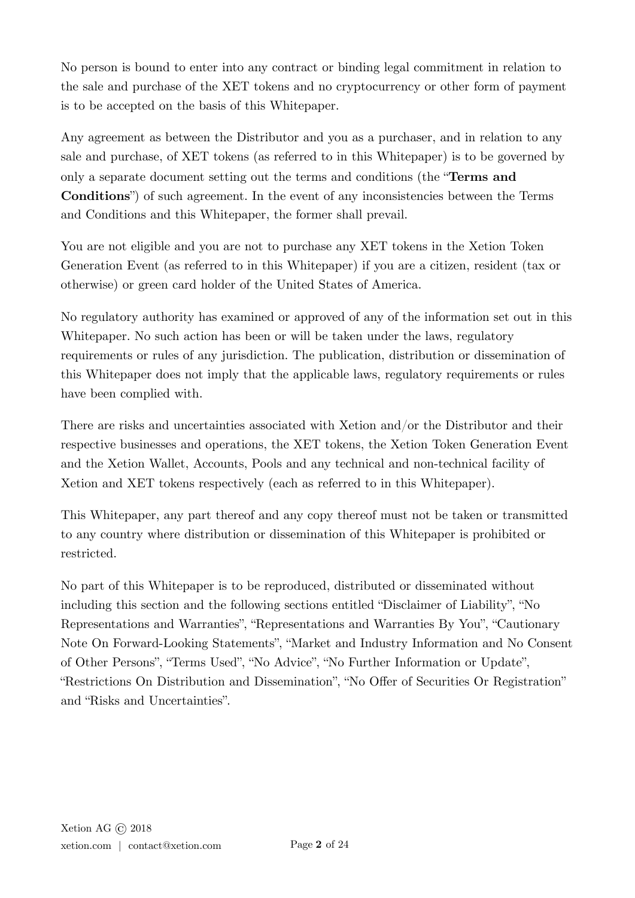No person is bound to enter into any contract or binding legal commitment in relation to the sale and purchase of the XET tokens and no cryptocurrency or other form of payment is to be accepted on the basis of this Whitepaper.

Any agreement as between the Distributor and you as a purchaser, and in relation to any sale and purchase, of XET tokens (as referred to in this Whitepaper) is to be governed by only a separate document setting out the terms and conditions (the "**Terms and Conditions**") of such agreement. In the event of any inconsistencies between the Terms and Conditions and this Whitepaper, the former shall prevail.

You are not eligible and you are not to purchase any XET tokens in the Xetion Token Generation Event (as referred to in this Whitepaper) if you are a citizen, resident (tax or otherwise) or green card holder of the United States of America.

No regulatory authority has examined or approved of any of the information set out in this Whitepaper. No such action has been or will be taken under the laws, regulatory requirements or rules of any jurisdiction. The publication, distribution or dissemination of this Whitepaper does not imply that the applicable laws, regulatory requirements or rules have been complied with.

There are risks and uncertainties associated with Xetion and/or the Distributor and their respective businesses and operations, the XET tokens, the Xetion Token Generation Event and the Xetion Wallet, Accounts, Pools and any technical and non-technical facility of Xetion and XET tokens respectively (each as referred to in this Whitepaper).

This Whitepaper, any part thereof and any copy thereof must not be taken or transmitted to any country where distribution or dissemination of this Whitepaper is prohibited or restricted.

No part of this Whitepaper is to be reproduced, distributed or disseminated without including this section and the following sections entitled "Disclaimer of Liability", "No Representations and Warranties", "Representations and Warranties By You", "Cautionary Note On Forward-Looking Statements", "Market and Industry Information and No Consent of Other Persons", "Terms Used", "No Advice", "No Further Information or Update", "Restrictions On Distribution and Dissemination", "No Offer of Securities Or Registration" and "Risks and Uncertainties".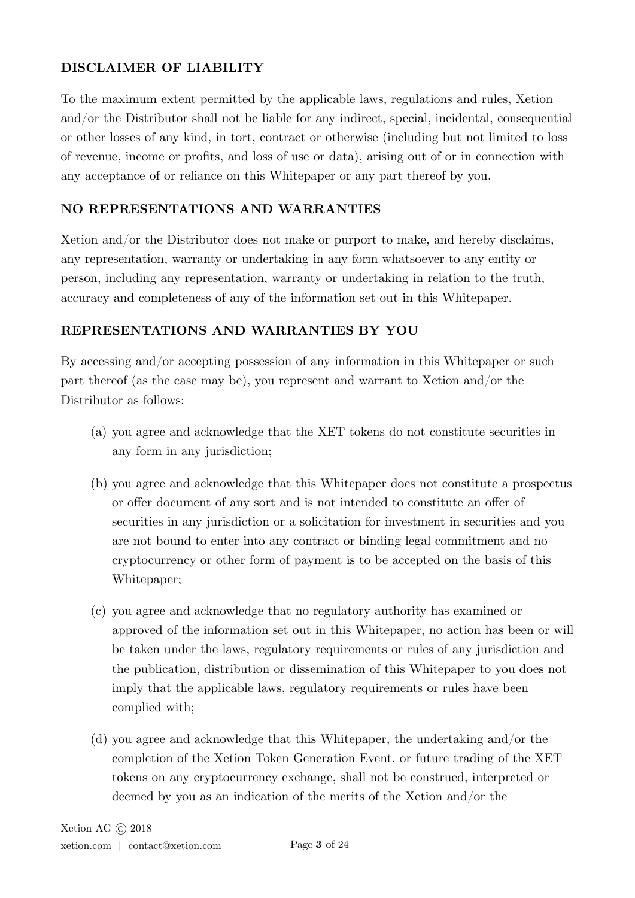### **DISCLAIMER OF LIABILITY**

To the maximum extent permitted by the applicable laws, regulations and rules, Xetion and/or the Distributor shall not be liable for any indirect, special, incidental, consequential or other losses of any kind, in tort, contract or otherwise (including but not limited to loss of revenue, income or profits, and loss of use or data), arising out of or in connection with any acceptance of or reliance on this Whitepaper or any part thereof by you.

### **NO REPRESENTATIONS AND WARRANTIES**

Xetion and/or the Distributor does not make or purport to make, and hereby disclaims, any representation, warranty or undertaking in any form whatsoever to any entity or person, including any representation, warranty or undertaking in relation to the truth, accuracy and completeness of any of the information set out in this Whitepaper.

### **REPRESENTATIONS AND WARRANTIES BY YOU**

By accessing and/or accepting possession of any information in this Whitepaper or such part thereof (as the case may be), you represent and warrant to Xetion and/or the Distributor as follows:

- (a) you agree and acknowledge that the XET tokens do not constitute securities in any form in any jurisdiction;
- (b) you agree and acknowledge that this Whitepaper does not constitute a prospectus or offer document of any sort and is not intended to constitute an offer of securities in any jurisdiction or a solicitation for investment in securities and you are not bound to enter into any contract or binding legal commitment and no cryptocurrency or other form of payment is to be accepted on the basis of this Whitepaper;
- (c) you agree and acknowledge that no regulatory authority has examined or approved of the information set out in this Whitepaper, no action has been or will be taken under the laws, regulatory requirements or rules of any jurisdiction and the publication, distribution or dissemination of this Whitepaper to you does not imply that the applicable laws, regulatory requirements or rules have been complied with;
- (d) you agree and acknowledge that this Whitepaper, the undertaking and/or the completion of the Xetion Token Generation Event, or future trading of the XET tokens on any cryptocurrency exchange, shall not be construed, interpreted or deemed by you as an indication of the merits of the Xetion and/or the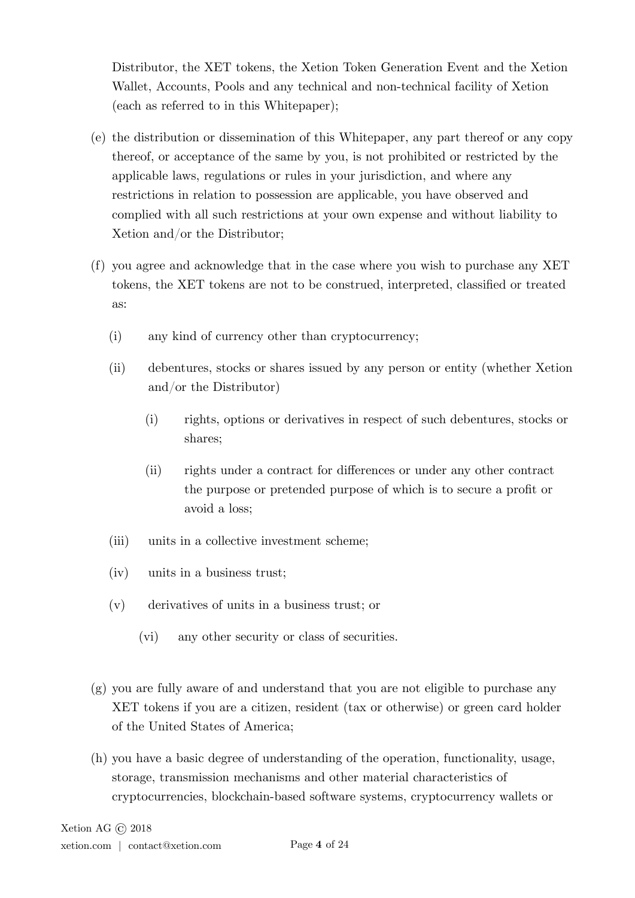Distributor, the XET tokens, the Xetion Token Generation Event and the Xetion Wallet, Accounts, Pools and any technical and non-technical facility of Xetion (each as referred to in this Whitepaper);

- (e) the distribution or dissemination of this Whitepaper, any part thereof or any copy thereof, or acceptance of the same by you, is not prohibited or restricted by the applicable laws, regulations or rules in your jurisdiction, and where any restrictions in relation to possession are applicable, you have observed and complied with all such restrictions at your own expense and without liability to Xetion and/or the Distributor;
- (f) you agree and acknowledge that in the case where you wish to purchase any XET tokens, the XET tokens are not to be construed, interpreted, classified or treated as:
	- (i) any kind of currency other than cryptocurrency;
	- (ii) debentures, stocks or shares issued by any person or entity (whether Xetion and/or the Distributor)
		- (i) rights, options or derivatives in respect of such debentures, stocks or shares;
		- (ii) rights under a contract for differences or under any other contract the purpose or pretended purpose of which is to secure a profit or avoid a loss;
	- (iii) units in a collective investment scheme;
	- (iv) units in a business trust;
	- (v) derivatives of units in a business trust; or
		- (vi) any other security or class of securities.
- (g) you are fully aware of and understand that you are not eligible to purchase any XET tokens if you are a citizen, resident (tax or otherwise) or green card holder of the United States of America;
- (h) you have a basic degree of understanding of the operation, functionality, usage, storage, transmission mechanisms and other material characteristics of cryptocurrencies, blockchain-based software systems, cryptocurrency wallets or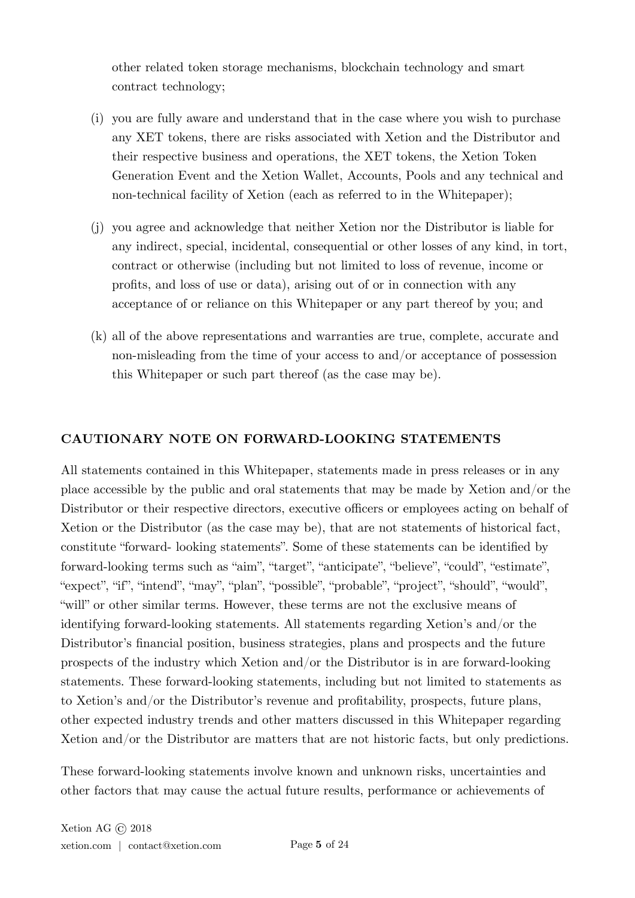other related token storage mechanisms, blockchain technology and smart contract technology;

- (i) you are fully aware and understand that in the case where you wish to purchase any XET tokens, there are risks associated with Xetion and the Distributor and their respective business and operations, the XET tokens, the Xetion Token Generation Event and the Xetion Wallet, Accounts, Pools and any technical and non-technical facility of Xetion (each as referred to in the Whitepaper);
- (j) you agree and acknowledge that neither Xetion nor the Distributor is liable for any indirect, special, incidental, consequential or other losses of any kind, in tort, contract or otherwise (including but not limited to loss of revenue, income or profits, and loss of use or data), arising out of or in connection with any acceptance of or reliance on this Whitepaper or any part thereof by you; and
- (k) all of the above representations and warranties are true, complete, accurate and non-misleading from the time of your access to and/or acceptance of possession this Whitepaper or such part thereof (as the case may be).

### **CAUTIONARY NOTE ON FORWARD-LOOKING STATEMENTS**

All statements contained in this Whitepaper, statements made in press releases or in any place accessible by the public and oral statements that may be made by Xetion and/or the Distributor or their respective directors, executive officers or employees acting on behalf of Xetion or the Distributor (as the case may be), that are not statements of historical fact, constitute "forward- looking statements". Some of these statements can be identified by forward-looking terms such as "aim", "target", "anticipate", "believe", "could", "estimate", "expect", "if", "intend", "may", "plan", "possible", "probable", "project", "should", "would", "will" or other similar terms. However, these terms are not the exclusive means of identifying forward-looking statements. All statements regarding Xetion's and/or the Distributor's financial position, business strategies, plans and prospects and the future prospects of the industry which Xetion and/or the Distributor is in are forward-looking statements. These forward-looking statements, including but not limited to statements as to Xetion's and/or the Distributor's revenue and profitability, prospects, future plans, other expected industry trends and other matters discussed in this Whitepaper regarding Xetion and/or the Distributor are matters that are not historic facts, but only predictions.

These forward-looking statements involve known and unknown risks, uncertainties and other factors that may cause the actual future results, performance or achievements of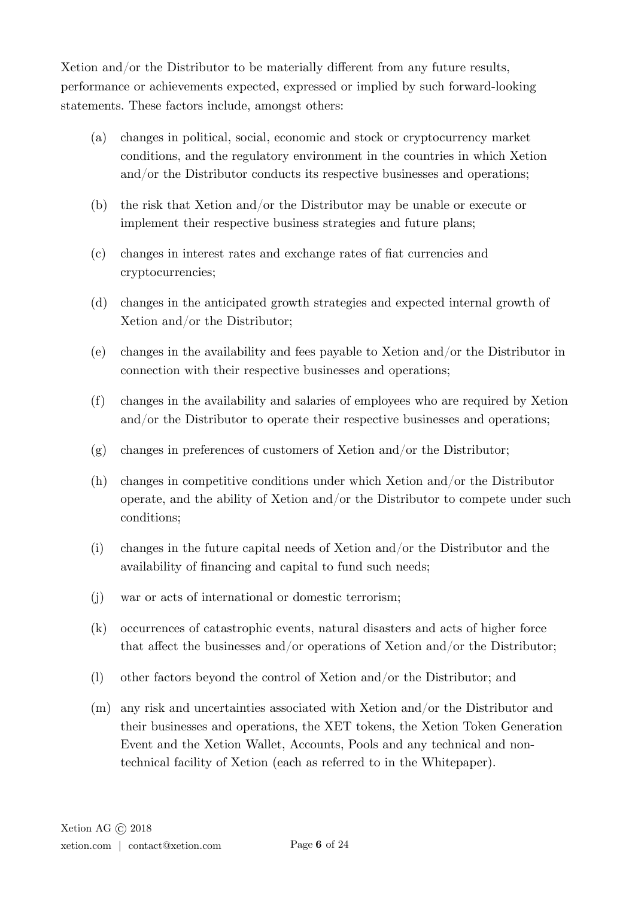Xetion and/or the Distributor to be materially different from any future results, performance or achievements expected, expressed or implied by such forward-looking statements. These factors include, amongst others:

- (a) changes in political, social, economic and stock or cryptocurrency market conditions, and the regulatory environment in the countries in which Xetion and/or the Distributor conducts its respective businesses and operations;
- (b) the risk that Xetion and/or the Distributor may be unable or execute or implement their respective business strategies and future plans;
- (c) changes in interest rates and exchange rates of fiat currencies and cryptocurrencies;
- (d) changes in the anticipated growth strategies and expected internal growth of Xetion and/or the Distributor;
- (e) changes in the availability and fees payable to Xetion and/or the Distributor in connection with their respective businesses and operations;
- (f) changes in the availability and salaries of employees who are required by Xetion and/or the Distributor to operate their respective businesses and operations;
- (g) changes in preferences of customers of Xetion and/or the Distributor;
- (h) changes in competitive conditions under which Xetion and/or the Distributor operate, and the ability of Xetion and/or the Distributor to compete under such conditions;
- (i) changes in the future capital needs of Xetion and/or the Distributor and the availability of financing and capital to fund such needs;
- (j) war or acts of international or domestic terrorism;
- (k) occurrences of catastrophic events, natural disasters and acts of higher force that affect the businesses and/or operations of Xetion and/or the Distributor;
- (l) other factors beyond the control of Xetion and/or the Distributor; and
- (m) any risk and uncertainties associated with Xetion and/or the Distributor and their businesses and operations, the XET tokens, the Xetion Token Generation Event and the Xetion Wallet, Accounts, Pools and any technical and nontechnical facility of Xetion (each as referred to in the Whitepaper).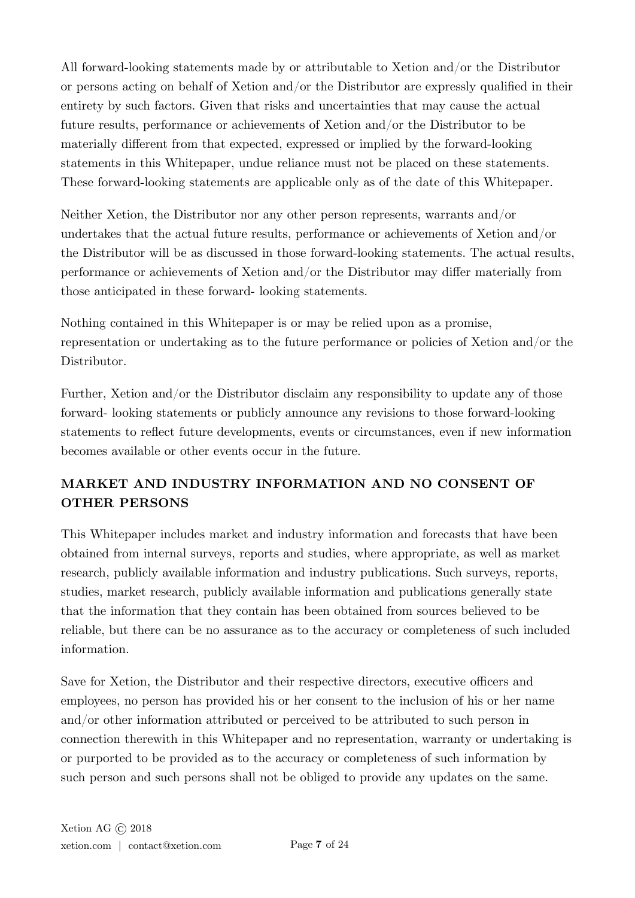All forward-looking statements made by or attributable to Xetion and/or the Distributor or persons acting on behalf of Xetion and/or the Distributor are expressly qualified in their entirety by such factors. Given that risks and uncertainties that may cause the actual future results, performance or achievements of Xetion and/or the Distributor to be materially different from that expected, expressed or implied by the forward-looking statements in this Whitepaper, undue reliance must not be placed on these statements. These forward-looking statements are applicable only as of the date of this Whitepaper.

Neither Xetion, the Distributor nor any other person represents, warrants and/or undertakes that the actual future results, performance or achievements of Xetion and/or the Distributor will be as discussed in those forward-looking statements. The actual results, performance or achievements of Xetion and/or the Distributor may differ materially from those anticipated in these forward- looking statements.

Nothing contained in this Whitepaper is or may be relied upon as a promise, representation or undertaking as to the future performance or policies of Xetion and/or the Distributor.

Further, Xetion and/or the Distributor disclaim any responsibility to update any of those forward- looking statements or publicly announce any revisions to those forward-looking statements to reflect future developments, events or circumstances, even if new information becomes available or other events occur in the future.

# **MARKET AND INDUSTRY INFORMATION AND NO CONSENT OF OTHER PERSONS**

This Whitepaper includes market and industry information and forecasts that have been obtained from internal surveys, reports and studies, where appropriate, as well as market research, publicly available information and industry publications. Such surveys, reports, studies, market research, publicly available information and publications generally state that the information that they contain has been obtained from sources believed to be reliable, but there can be no assurance as to the accuracy or completeness of such included information.

Save for Xetion, the Distributor and their respective directors, executive officers and employees, no person has provided his or her consent to the inclusion of his or her name and/or other information attributed or perceived to be attributed to such person in connection therewith in this Whitepaper and no representation, warranty or undertaking is or purported to be provided as to the accuracy or completeness of such information by such person and such persons shall not be obliged to provide any updates on the same.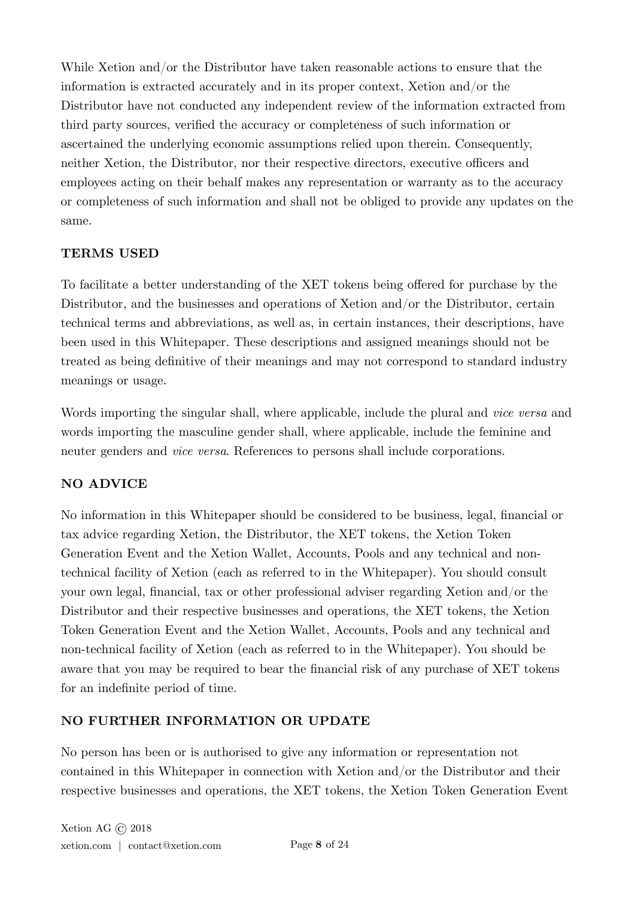While Xetion and/or the Distributor have taken reasonable actions to ensure that the information is extracted accurately and in its proper context, Xetion and/or the Distributor have not conducted any independent review of the information extracted from third party sources, verified the accuracy or completeness of such information or ascertained the underlying economic assumptions relied upon therein. Consequently, neither Xetion, the Distributor, nor their respective directors, executive officers and employees acting on their behalf makes any representation or warranty as to the accuracy or completeness of such information and shall not be obliged to provide any updates on the same.

# **TERMS USED**

To facilitate a better understanding of the XET tokens being offered for purchase by the Distributor, and the businesses and operations of Xetion and/or the Distributor, certain technical terms and abbreviations, as well as, in certain instances, their descriptions, have been used in this Whitepaper. These descriptions and assigned meanings should not be treated as being definitive of their meanings and may not correspond to standard industry meanings or usage.

Words importing the singular shall, where applicable, include the plural and *vice versa* and words importing the masculine gender shall, where applicable, include the feminine and neuter genders and *vice versa*. References to persons shall include corporations.

# **NO ADVICE**

No information in this Whitepaper should be considered to be business, legal, financial or tax advice regarding Xetion, the Distributor, the XET tokens, the Xetion Token Generation Event and the Xetion Wallet, Accounts, Pools and any technical and nontechnical facility of Xetion (each as referred to in the Whitepaper). You should consult your own legal, financial, tax or other professional adviser regarding Xetion and/or the Distributor and their respective businesses and operations, the XET tokens, the Xetion Token Generation Event and the Xetion Wallet, Accounts, Pools and any technical and non-technical facility of Xetion (each as referred to in the Whitepaper). You should be aware that you may be required to bear the financial risk of any purchase of XET tokens for an indefinite period of time.

# **NO FURTHER INFORMATION OR UPDATE**

No person has been or is authorised to give any information or representation not contained in this Whitepaper in connection with Xetion and/or the Distributor and their respective businesses and operations, the XET tokens, the Xetion Token Generation Event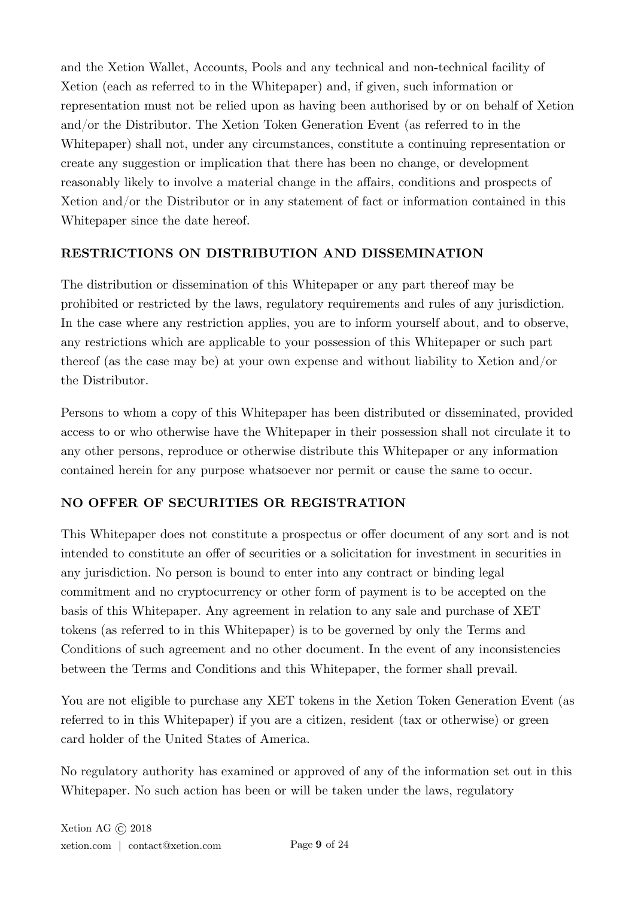and the Xetion Wallet, Accounts, Pools and any technical and non-technical facility of Xetion (each as referred to in the Whitepaper) and, if given, such information or representation must not be relied upon as having been authorised by or on behalf of Xetion and/or the Distributor. The Xetion Token Generation Event (as referred to in the Whitepaper) shall not, under any circumstances, constitute a continuing representation or create any suggestion or implication that there has been no change, or development reasonably likely to involve a material change in the affairs, conditions and prospects of Xetion and/or the Distributor or in any statement of fact or information contained in this Whitepaper since the date hereof.

# **RESTRICTIONS ON DISTRIBUTION AND DISSEMINATION**

The distribution or dissemination of this Whitepaper or any part thereof may be prohibited or restricted by the laws, regulatory requirements and rules of any jurisdiction. In the case where any restriction applies, you are to inform yourself about, and to observe, any restrictions which are applicable to your possession of this Whitepaper or such part thereof (as the case may be) at your own expense and without liability to Xetion and/or the Distributor.

Persons to whom a copy of this Whitepaper has been distributed or disseminated, provided access to or who otherwise have the Whitepaper in their possession shall not circulate it to any other persons, reproduce or otherwise distribute this Whitepaper or any information contained herein for any purpose whatsoever nor permit or cause the same to occur.

# **NO OFFER OF SECURITIES OR REGISTRATION**

This Whitepaper does not constitute a prospectus or offer document of any sort and is not intended to constitute an offer of securities or a solicitation for investment in securities in any jurisdiction. No person is bound to enter into any contract or binding legal commitment and no cryptocurrency or other form of payment is to be accepted on the basis of this Whitepaper. Any agreement in relation to any sale and purchase of XET tokens (as referred to in this Whitepaper) is to be governed by only the Terms and Conditions of such agreement and no other document. In the event of any inconsistencies between the Terms and Conditions and this Whitepaper, the former shall prevail.

You are not eligible to purchase any XET tokens in the Xetion Token Generation Event (as referred to in this Whitepaper) if you are a citizen, resident (tax or otherwise) or green card holder of the United States of America.

No regulatory authority has examined or approved of any of the information set out in this Whitepaper. No such action has been or will be taken under the laws, regulatory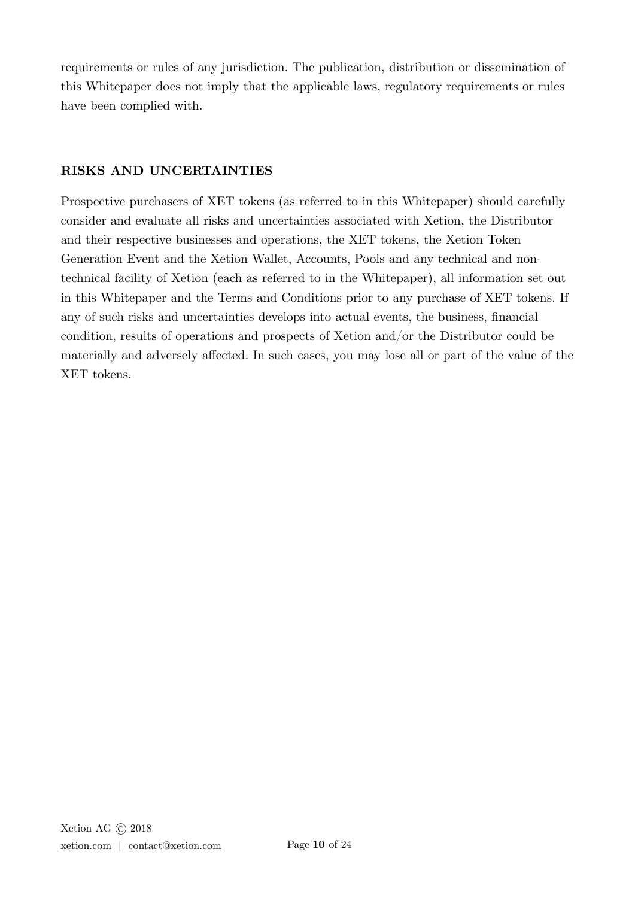requirements or rules of any jurisdiction. The publication, distribution or dissemination of this Whitepaper does not imply that the applicable laws, regulatory requirements or rules have been complied with.

### **RISKS AND UNCERTAINTIES**

Prospective purchasers of XET tokens (as referred to in this Whitepaper) should carefully consider and evaluate all risks and uncertainties associated with Xetion, the Distributor and their respective businesses and operations, the XET tokens, the Xetion Token Generation Event and the Xetion Wallet, Accounts, Pools and any technical and nontechnical facility of Xetion (each as referred to in the Whitepaper), all information set out in this Whitepaper and the Terms and Conditions prior to any purchase of XET tokens. If any of such risks and uncertainties develops into actual events, the business, financial condition, results of operations and prospects of Xetion and/or the Distributor could be materially and adversely affected. In such cases, you may lose all or part of the value of the XET tokens.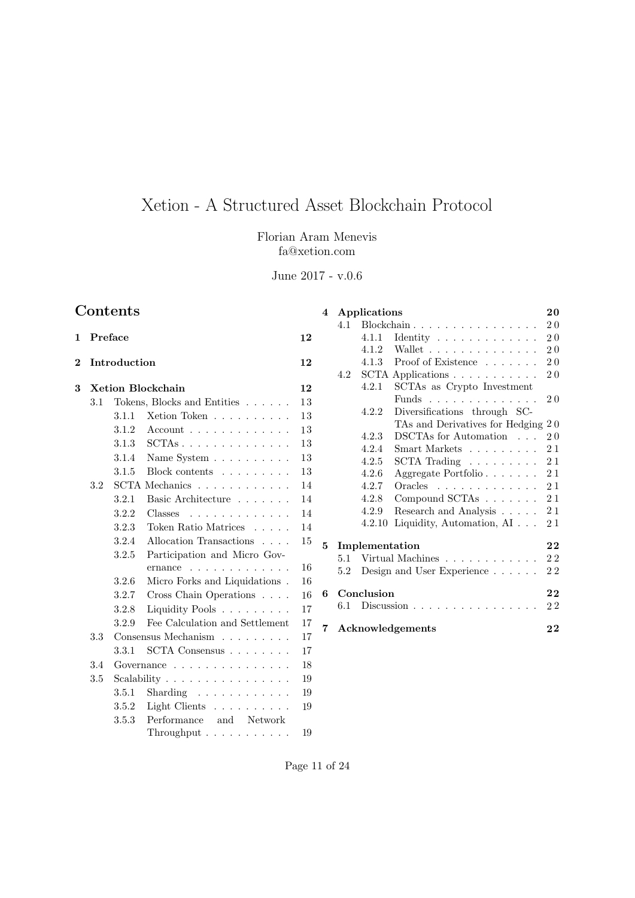# Xetion - A Structured Asset Blockchain Protocol

Florian Aram Menevis fa@xetion.com

June 2017 - v.0.6

# Contents

| 1                       | Preface                                              |       |                                                                           |    |  |
|-------------------------|------------------------------------------------------|-------|---------------------------------------------------------------------------|----|--|
| $\overline{\mathbf{2}}$ | Introduction                                         |       |                                                                           |    |  |
| 3                       | <b>Xetion Blockchain</b>                             |       |                                                                           |    |  |
|                         | 3.1                                                  |       | Tokens, Blocks and Entities                                               | 13 |  |
|                         |                                                      | 3.1.1 | Xetion Token                                                              | 13 |  |
|                         |                                                      | 3.1.2 | $Account \dots \dots \dots \dots \dots$                                   | 13 |  |
|                         |                                                      | 3.1.3 | $\mathrm{SCTAs}\;.\;\;.\;\;.\;\;.\;\;.\;\;.\;\;.\;\;.\;\;.\;\;.\;\;.\;\;$ | 13 |  |
|                         |                                                      | 3.1.4 | Name System $\ldots \ldots \ldots$                                        | 13 |  |
|                         |                                                      | 3.1.5 | Block contents                                                            | 13 |  |
|                         | SCTA Mechanics $\ldots$ , $\ldots$ , $\ldots$<br>3.2 |       |                                                                           |    |  |
|                         |                                                      | 3.2.1 | Basic Architecture                                                        | 14 |  |
|                         |                                                      | 3.2.2 | Classes<br>.                                                              | 14 |  |
|                         |                                                      | 3.2.3 | Token Ratio Matrices                                                      | 14 |  |
|                         |                                                      | 3.2.4 | Allocation Transactions                                                   | 15 |  |
|                         |                                                      | 3.2.5 | Participation and Micro Gov-                                              |    |  |
|                         |                                                      |       | ernance<br>$\mathbf{r}$ . The state of the state $\mathbf{r}$             | 16 |  |
|                         |                                                      | 3.2.6 | Micro Forks and Liquidations.                                             | 16 |  |
|                         |                                                      | 3.2.7 | Cross Chain Operations                                                    | 16 |  |
|                         |                                                      | 3.2.8 | Liquidity Pools                                                           | 17 |  |
|                         |                                                      | 3.2.9 | Fee Calculation and Settlement                                            | 17 |  |
|                         | 3.3                                                  |       | Consensus Mechanism                                                       | 17 |  |
|                         |                                                      | 3.3.1 | SCTA Consensus $\ldots \ldots \ldots$                                     | 17 |  |
|                         | 3.4                                                  |       | Governance $\ldots \ldots \ldots \ldots \ldots$                           | 18 |  |
|                         | 3.5                                                  |       | Scalability $\ldots \ldots \ldots \ldots \ldots$                          | 19 |  |
|                         |                                                      | 3.5.1 | Sharding $\ldots \ldots \ldots \ldots$                                    | 19 |  |
|                         |                                                      | 3.5.2 | Light Clients                                                             | 19 |  |
|                         |                                                      | 3.5.3 | Performance and Network<br>$Throughout \ldots \ldots \ldots$              | 19 |  |
|                         |                                                      |       |                                                                           |    |  |

| 4                   |                            | Applications                                      |                                         |                |  |  |
|---------------------|----------------------------|---------------------------------------------------|-----------------------------------------|----------------|--|--|
|                     |                            | Blockchain<br>4.1                                 |                                         |                |  |  |
|                     |                            | 4.1.1                                             | Identity $\dots \dots \dots \dots$      | 20             |  |  |
|                     |                            | 4.1.2                                             | Wallet                                  | 2.0            |  |  |
|                     |                            |                                                   | 4.1.3 Proof of Existence $\ldots$       | 20             |  |  |
|                     | 4.2                        |                                                   | SCTA Applications                       | 2 <sub>0</sub> |  |  |
|                     |                            | 4.2.1                                             | SCTAs as Crypto Investment              |                |  |  |
|                     |                            |                                                   | Funds                                   | $2.0\,$        |  |  |
|                     |                            | 4.2.2                                             | Diversifications through SC-            |                |  |  |
|                     |                            | TAs and Derivatives for Hedging<br>2 <sub>0</sub> |                                         |                |  |  |
|                     |                            | 4.2.3                                             | DSCTAs for Automation                   | 2.0            |  |  |
|                     |                            | 4.2.4                                             | Smart Markets                           | 21             |  |  |
|                     |                            | 4.2.5                                             | $SCTA$ Trading $\ldots \ldots \ldots$   | 21             |  |  |
|                     |                            | 4.2.6                                             | Aggregate Portfolio                     | 21             |  |  |
|                     |                            | 4.2.7                                             | $Oracles \dots \dots \dots \dots \dots$ | 21             |  |  |
|                     |                            | 4.2.8                                             | Compound SCTAs                          | 21             |  |  |
|                     |                            | 4.2.9                                             | Research and Analysis                   | 21             |  |  |
|                     |                            | 4.2.10                                            | Liquidity, Automation, AI               | 21             |  |  |
| 5<br>Implementation |                            |                                                   |                                         | 22             |  |  |
|                     | 5.1                        |                                                   | Virtual Machines                        | 22             |  |  |
|                     | 5.2                        |                                                   | Design and User Experience              | 22             |  |  |
| 6                   | Conclusion                 |                                                   |                                         | 22             |  |  |
|                     | 6.1                        |                                                   | Discussion $\ldots$                     | 22             |  |  |
| 7.                  | Acknowledgements<br>$2\,2$ |                                                   |                                         |                |  |  |

Page 11 of  $24$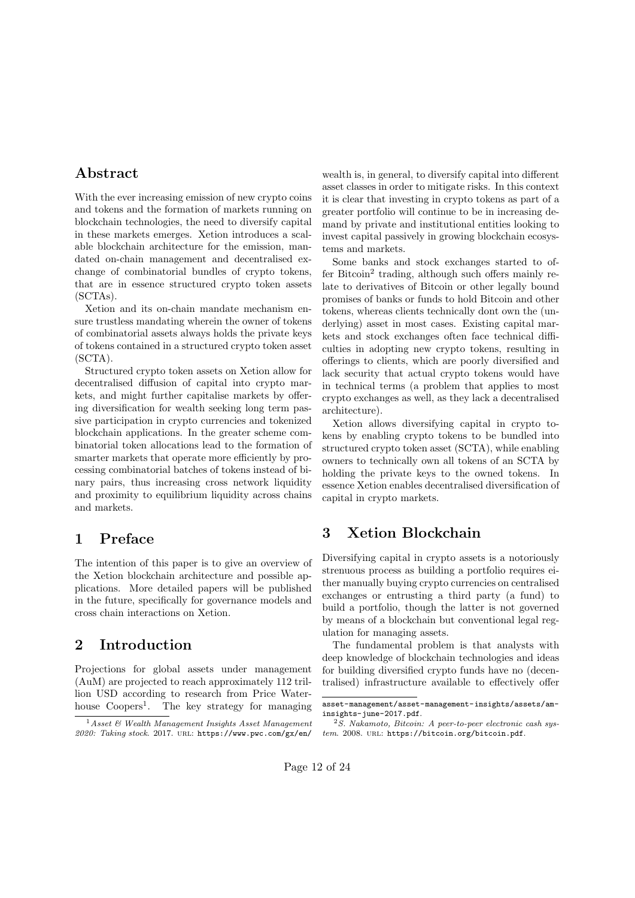### Abstract

With the ever increasing emission of new crypto coins and tokens and the formation of markets running on blockchain technologies, the need to diversify capital in these markets emerges. Xetion introduces a scalable blockchain architecture for the emission, mandated on-chain management and decentralised exchange of combinatorial bundles of crypto tokens, that are in essence structured crypto token assets (SCTAs).

Xetion and its on-chain mandate mechanism ensure trustless mandating wherein the owner of tokens of combinatorial assets always holds the private keys of tokens contained in a structured crypto token asset (SCTA).

Structured crypto token assets on Xetion allow for decentralised diffusion of capital into crypto markets, and might further capitalise markets by offering diversification for wealth seeking long term passive participation in crypto currencies and tokenized blockchain applications. In the greater scheme combinatorial token allocations lead to the formation of smarter markets that operate more efficiently by processing combinatorial batches of tokens instead of binary pairs, thus increasing cross network liquidity and proximity to equilibrium liquidity across chains and markets.

### 1 Preface

The intention of this paper is to give an overview of the Xetion blockchain architecture and possible applications. More detailed papers will be published in the future, specifically for governance models and cross chain interactions on Xetion.

### 2 Introduction

Projections for global assets under management (AuM) are projected to reach approximately 112 trillion USD according to research from Price Waterhouse  $Coopers<sup>1</sup>$ . The key strategy for managing wealth is, in general, to diversify capital into different asset classes in order to mitigate risks. In this context it is clear that investing in crypto tokens as part of a greater portfolio will continue to be in increasing demand by private and institutional entities looking to invest capital passively in growing blockchain ecosystems and markets.

Some banks and stock exchanges started to of $f$ fer Bitcoin<sup>2</sup> trading, although such offers mainly relate to derivatives of Bitcoin or other legally bound promises of banks or funds to hold Bitcoin and other tokens, whereas clients technically dont own the (underlying) asset in most cases. Existing capital markets and stock exchanges often face technical difficulties in adopting new crypto tokens, resulting in offerings to clients, which are poorly diversified and lack security that actual crypto tokens would have in technical terms (a problem that applies to most crypto exchanges as well, as they lack a decentralised architecture).

Xetion allows diversifying capital in crypto tokens by enabling crypto tokens to be bundled into structured crypto token asset (SCTA), while enabling owners to technically own all tokens of an SCTA by holding the private keys to the owned tokens. In essence Xetion enables decentralised diversification of capital in crypto markets.

# 3 Xetion Blockchain

Diversifying capital in crypto assets is a notoriously strenuous process as building a portfolio requires either manually buying crypto currencies on centralised exchanges or entrusting a third party (a fund) to build a portfolio, though the latter is not governed by means of a blockchain but conventional legal regulation for managing assets.

The fundamental problem is that analysts with deep knowledge of blockchain technologies and ideas for building diversified crypto funds have no (decentralised) infrastructure available to effectively offer

<sup>1</sup>*Asset & Wealth Management Insights Asset Management 2020: Taking stock*. 2017. url: https://www.pwc.com/gx/en/

asset-management/asset-management-insights/assets/aminsights-june-2017.pdf.

<sup>2</sup>*S. Nakamoto, Bitcoin: A peer-to-peer electronic cash system*. 2008. url: https://bitcoin.org/bitcoin.pdf.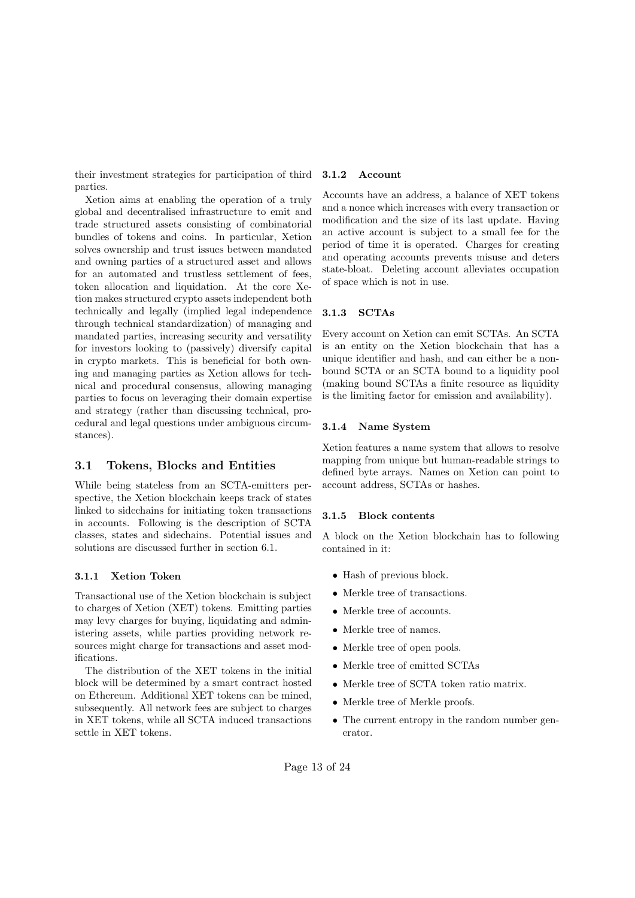their investment strategies for participation of third parties.

Xetion aims at enabling the operation of a truly global and decentralised infrastructure to emit and trade structured assets consisting of combinatorial bundles of tokens and coins. In particular, Xetion solves ownership and trust issues between mandated and owning parties of a structured asset and allows for an automated and trustless settlement of fees, token allocation and liquidation. At the core Xetion makes structured crypto assets independent both technically and legally (implied legal independence through technical standardization) of managing and mandated parties, increasing security and versatility for investors looking to (passively) diversify capital in crypto markets. This is beneficial for both owning and managing parties as Xetion allows for technical and procedural consensus, allowing managing parties to focus on leveraging their domain expertise and strategy (rather than discussing technical, procedural and legal questions under ambiguous circumstances).

#### 3.1 Tokens, Blocks and Entities

While being stateless from an SCTA-emitters perspective, the Xetion blockchain keeps track of states linked to sidechains for initiating token transactions in accounts. Following is the description of SCTA classes, states and sidechains. Potential issues and solutions are discussed further in section 6.1.

#### 3.1.1 Xetion Token

Transactional use of the Xetion blockchain is subject to charges of Xetion (XET) tokens. Emitting parties may levy charges for buying, liquidating and administering assets, while parties providing network resources might charge for transactions and asset modifications.

The distribution of the XET tokens in the initial block will be determined by a smart contract hosted on Ethereum. Additional XET tokens can be mined, subsequently. All network fees are subject to charges in XET tokens, while all SCTA induced transactions settle in XET tokens.

#### 3.1.2 Account

Accounts have an address, a balance of XET tokens and a nonce which increases with every transaction or modification and the size of its last update. Having an active account is subject to a small fee for the period of time it is operated. Charges for creating and operating accounts prevents misuse and deters state-bloat. Deleting account alleviates occupation of space which is not in use.

#### 3.1.3 SCTAs

Every account on Xetion can emit SCTAs. An SCTA is an entity on the Xetion blockchain that has a unique identifier and hash, and can either be a nonbound SCTA or an SCTA bound to a liquidity pool (making bound SCTAs a finite resource as liquidity is the limiting factor for emission and availability).

#### 3.1.4 Name System

Xetion features a name system that allows to resolve mapping from unique but human-readable strings to defined byte arrays. Names on Xetion can point to account address, SCTAs or hashes.

#### 3.1.5 Block contents

A block on the Xetion blockchain has to following contained in it:

- *•* Hash of previous block.
- Merkle tree of transactions.
- Merkle tree of accounts.
- *•* Merkle tree of names.
- *•* Merkle tree of open pools.
- Merkle tree of emitted SCTAs
- *•* Merkle tree of SCTA token ratio matrix.
- Merkle tree of Merkle proofs.
- The current entropy in the random number generator.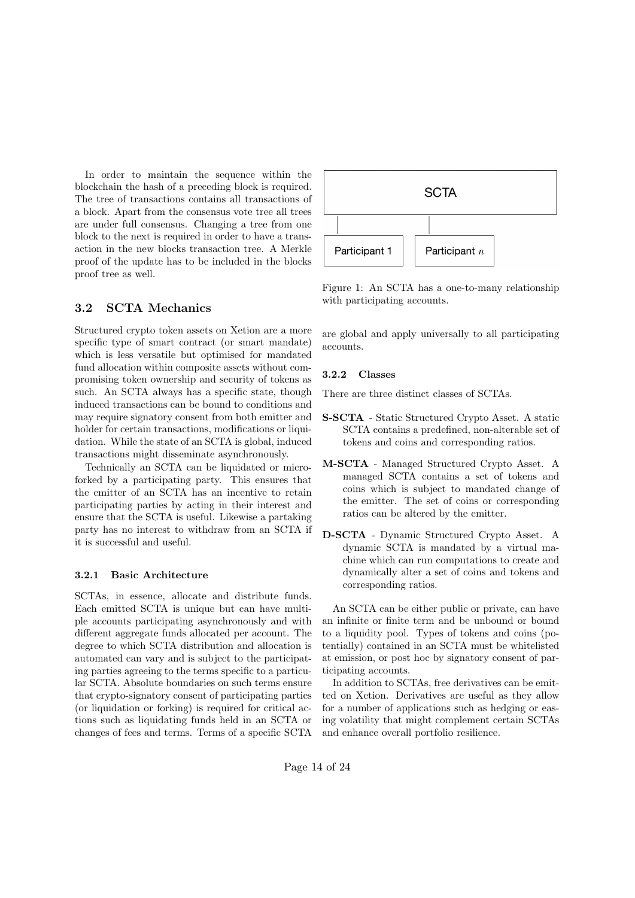In order to maintain the sequence within the blockchain the hash of a preceding block is required. The tree of transactions contains all transactions of a block. Apart from the consensus vote tree all trees are under full consensus. Changing a tree from one block to the next is required in order to have a transaction in the new blocks transaction tree. A Merkle proof of the update has to be included in the blocks proof tree as well.

### 3.2 SCTA Mechanics

Structured crypto token assets on Xetion are a more specific type of smart contract (or smart mandate) which is less versatile but optimised for mandated fund allocation within composite assets without compromising token ownership and security of tokens as such. An SCTA always has a specific state, though induced transactions can be bound to conditions and may require signatory consent from both emitter and holder for certain transactions, modifications or liquidation. While the state of an SCTA is global, induced transactions might disseminate asynchronously.

Technically an SCTA can be liquidated or microforked by a participating party. This ensures that the emitter of an SCTA has an incentive to retain participating parties by acting in their interest and ensure that the SCTA is useful. Likewise a partaking party has no interest to withdraw from an SCTA if it is successful and useful.

#### 3.2.1 Basic Architecture

SCTAs, in essence, allocate and distribute funds. Each emitted SCTA is unique but can have multiple accounts participating asynchronously and with different aggregate funds allocated per account. The degree to which SCTA distribution and allocation is automated can vary and is subject to the participating parties agreeing to the terms specific to a particular SCTA. Absolute boundaries on such terms ensure that crypto-signatory consent of participating parties (or liquidation or forking) is required for critical actions such as liquidating funds held in an SCTA or changes of fees and terms. Terms of a specific SCTA



Figure 1: An SCTA has a one-to-many relationship with participating accounts.

are global and apply universally to all participating accounts.

#### 3.2.2 Classes

There are three distinct classes of SCTAs.

- S-SCTA Static Structured Crypto Asset. A static SCTA contains a predefined, non-alterable set of tokens and coins and corresponding ratios.
- M-SCTA Managed Structured Crypto Asset. A managed SCTA contains a set of tokens and coins which is subject to mandated change of the emitter. The set of coins or corresponding ratios can be altered by the emitter.
- D-SCTA Dynamic Structured Crypto Asset. A dynamic SCTA is mandated by a virtual machine which can run computations to create and dynamically alter a set of coins and tokens and corresponding ratios.

An SCTA can be either public or private, can have an infinite or finite term and be unbound or bound to a liquidity pool. Types of tokens and coins (potentially) contained in an SCTA must be whitelisted at emission, or post hoc by signatory consent of participating accounts.

In addition to SCTAs, free derivatives can be emitted on Xetion. Derivatives are useful as they allow for a number of applications such as hedging or easing volatility that might complement certain SCTAs and enhance overall portfolio resilience.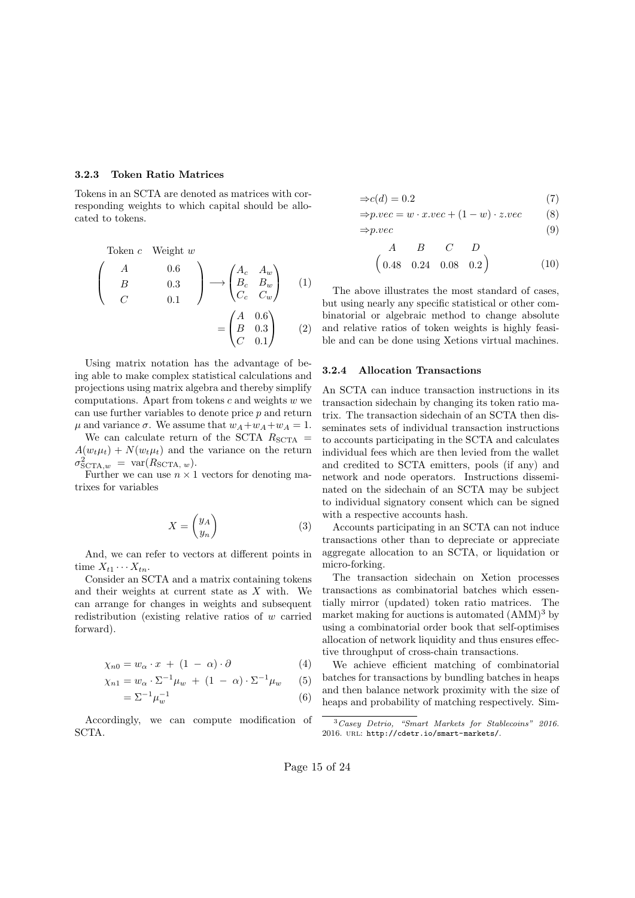#### 3.2.3 Token Ratio Matrices

Tokens in an SCTA are denoted as matrices with corresponding weights to which capital should be allocated to tokens.

Token c Weight 
$$
w
$$

\n
$$
\begin{pmatrix}\nA & 0.6 \\
B & 0.3 \\
C & 0.1\n\end{pmatrix}\n\longrightarrow\n\begin{pmatrix}\nA_c & A_w \\
B_c & B_w \\
C_c & C_w\n\end{pmatrix}\n\tag{1}
$$
\n
$$
= \begin{pmatrix}\nA & 0.6 \\
B & 0.3 \\
C & 0.1\n\end{pmatrix}\n\tag{2}
$$

Using matrix notation has the advantage of being able to make complex statistical calculations and projections using matrix algebra and thereby simplify computations. Apart from tokens *c* and weights *w* we can use further variables to denote price *p* and return  $\mu$  and variance  $\sigma$ . We assume that  $w_A + w_A + w_A = 1$ .

We can calculate return of the SCTA  $R_{\text{SCTA}} =$  $A(w_t\mu_t) + N(w_t\mu_t)$  and the variance on the return  $\sigma_{\mathrm{SCTA},w}^2 = \mathrm{var}(R_{\mathrm{SCTA},w}).$ 

Further we can use  $n \times 1$  vectors for denoting matrixes for variables

$$
X = \begin{pmatrix} y_A \\ y_n \end{pmatrix} \tag{3}
$$

And, we can refer to vectors at different points in time  $X_{t1} \cdots X_{tn}$ .

Consider an SCTA and a matrix containing tokens and their weights at current state as *X* with. We can arrange for changes in weights and subsequent redistribution (existing relative ratios of *w* carried forward).

$$
\chi_{n0} = w_{\alpha} \cdot x + (1 - \alpha) \cdot \partial \tag{4}
$$

$$
\chi_{n1} = w_{\alpha} \cdot \Sigma^{-1} \mu_w + (1 - \alpha) \cdot \Sigma^{-1} \mu_w \qquad (5)
$$

$$
=\Sigma^{-1}\mu_w^{-1}\tag{6}
$$

Accordingly, we can compute modification of SCTA.

$$
\Rightarrow c(d) = 0.2\tag{7}
$$

$$
\Rightarrow p. vec = w \cdot x. vec + (1 - w) \cdot z. vec \tag{8}
$$

$$
\Rightarrow p. vec \tag{9}
$$

$$
\begin{array}{cccc}\nA & B & C & D \\
0.48 & 0.24 & 0.08 & 0.2\n\end{array}
$$
\n(10)

The above illustrates the most standard of cases, but using nearly any specific statistical or other combinatorial or algebraic method to change absolute and relative ratios of token weights is highly feasible and can be done using Xetions virtual machines.

#### 3.2.4 Allocation Transactions

An SCTA can induce transaction instructions in its transaction sidechain by changing its token ratio matrix. The transaction sidechain of an SCTA then disseminates sets of individual transaction instructions to accounts participating in the SCTA and calculates individual fees which are then levied from the wallet and credited to SCTA emitters, pools (if any) and network and node operators. Instructions disseminated on the sidechain of an SCTA may be subject to individual signatory consent which can be signed with a respective accounts hash.

Accounts participating in an SCTA can not induce transactions other than to depreciate or appreciate aggregate allocation to an SCTA, or liquidation or micro-forking.

The transaction sidechain on Xetion processes transactions as combinatorial batches which essentially mirror (updated) token ratio matrices. The market making for auctions is automated  $(AMM)^3$  by using a combinatorial order book that self-optimises allocation of network liquidity and thus ensures effective throughput of cross-chain transactions.

We achieve efficient matching of combinatorial batches for transactions by bundling batches in heaps and then balance network proximity with the size of heaps and probability of matching respectively. Sim-

<sup>3</sup>*Casey Detrio, "Smart Markets for Stablecoins" 2016.* 2016. url: http://cdetr.io/smart-markets/.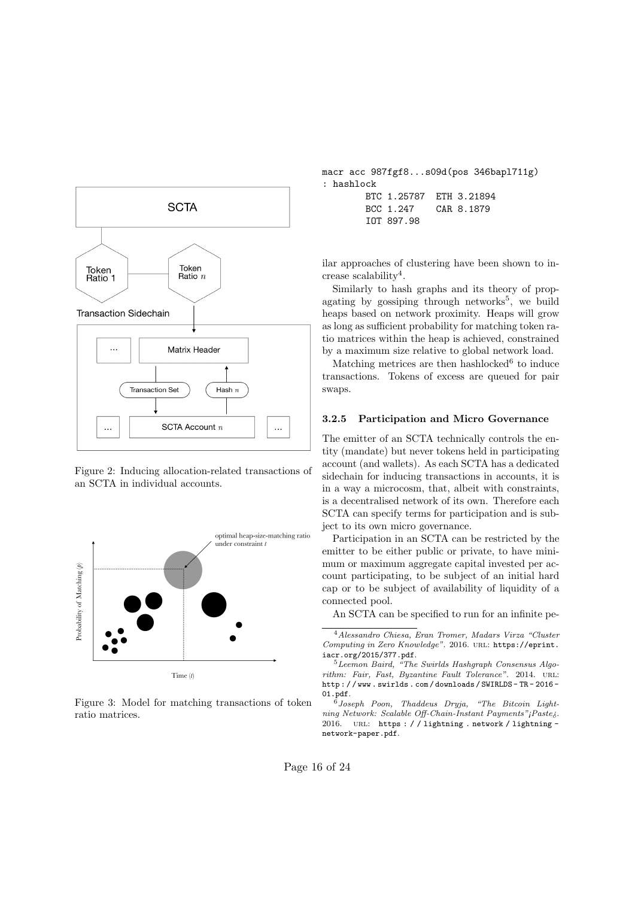

Figure 2: Inducing allocation-related transactions of an SCTA in individual accounts.



Figure 3: Model for matching transactions of token ratio matrices.

macr acc 987fgf8...s09d(pos 346bapl711g) : hashlock BTC 1.25787 ETH 3.21894 BCC 1.247 CAR 8.1879 IOT 897.98

ilar approaches of clustering have been shown to increase scalability<sup>4</sup>.

Similarly to hash graphs and its theory of propagating by gossiping through networks<sup>5</sup>, we build heaps based on network proximity. Heaps will grow as long as sufficient probability for matching token ratio matrices within the heap is achieved, constrained by a maximum size relative to global network load.

Matching metrices are then hashlocked $6$  to induce transactions. Tokens of excess are queued for pair swaps.

#### 3.2.5 Participation and Micro Governance

The emitter of an SCTA technically controls the entity (mandate) but never tokens held in participating account (and wallets). As each SCTA has a dedicated sidechain for inducing transactions in accounts, it is in a way a microcosm, that, albeit with constraints, is a decentralised network of its own. Therefore each SCTA can specify terms for participation and is subject to its own micro governance.

Participation in an SCTA can be restricted by the emitter to be either public or private, to have minimum or maximum aggregate capital invested per account participating, to be subject of an initial hard cap or to be subject of availability of liquidity of a connected pool.

An SCTA can be specified to run for an infinite pe-

<sup>4</sup>*Alessandro Chiesa, Eran Tromer, Madars Virza "Cluster Computing in Zero Knowledge"*. 2016. url: https://eprint. iacr.org/2015/377.pdf.

<sup>5</sup>*Leemon Baird, "The Swirlds Hashgraph Consensus Algorithm: Fair, Fast, Byzantine Fault Tolerance"*. 2014. url: http : / / www . swirlds . com / downloads / SWIRLDS - TR - 2016 - 01.pdf.

<sup>6</sup>*Joseph Poon, Thaddeus Dryja, "The Bitcoin Lightning Network: Scalable O*↵*-Chain-Instant Payments"¡Paste¿*. 2016. URL: https://lightning.network/lightningnetwork-paper.pdf.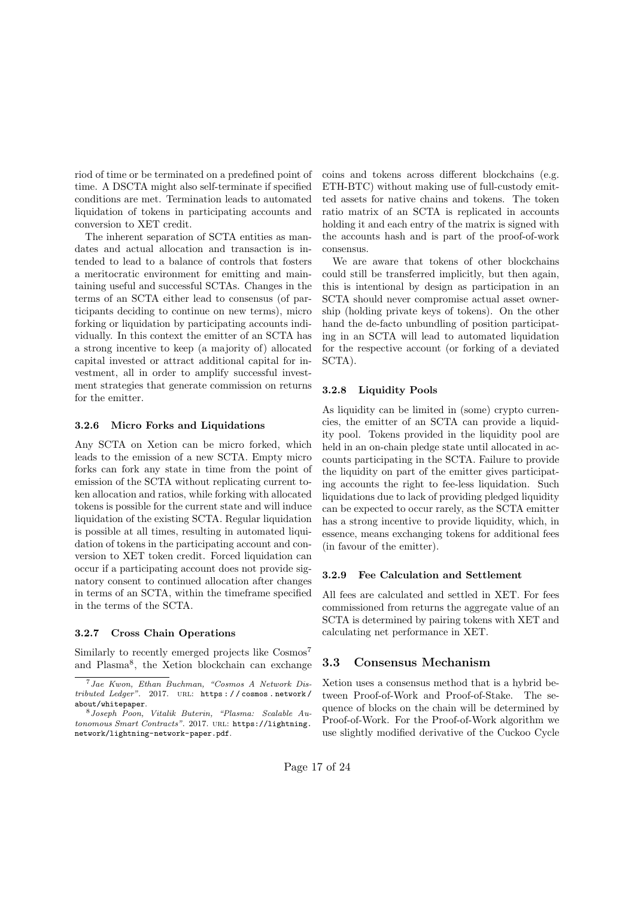riod of time or be terminated on a predefined point of time. A DSCTA might also self-terminate if specified conditions are met. Termination leads to automated liquidation of tokens in participating accounts and conversion to XET credit.

The inherent separation of SCTA entities as mandates and actual allocation and transaction is intended to lead to a balance of controls that fosters a meritocratic environment for emitting and maintaining useful and successful SCTAs. Changes in the terms of an SCTA either lead to consensus (of participants deciding to continue on new terms), micro forking or liquidation by participating accounts individually. In this context the emitter of an SCTA has a strong incentive to keep (a majority of) allocated capital invested or attract additional capital for investment, all in order to amplify successful investment strategies that generate commission on returns for the emitter.

#### 3.2.6 Micro Forks and Liquidations

Any SCTA on Xetion can be micro forked, which leads to the emission of a new SCTA. Empty micro forks can fork any state in time from the point of emission of the SCTA without replicating current token allocation and ratios, while forking with allocated tokens is possible for the current state and will induce liquidation of the existing SCTA. Regular liquidation is possible at all times, resulting in automated liquidation of tokens in the participating account and conversion to XET token credit. Forced liquidation can occur if a participating account does not provide signatory consent to continued allocation after changes in terms of an SCTA, within the timeframe specified in the terms of the SCTA.

#### 3.2.7 Cross Chain Operations

Similarly to recently emerged projects like Cosmos<sup>7</sup> and Plasma<sup>8</sup>, the Xetion blockchain can exchange coins and tokens across different blockchains (e.g. ETH-BTC) without making use of full-custody emitted assets for native chains and tokens. The token ratio matrix of an SCTA is replicated in accounts holding it and each entry of the matrix is signed with the accounts hash and is part of the proof-of-work consensus.

We are aware that tokens of other blockchains could still be transferred implicitly, but then again, this is intentional by design as participation in an SCTA should never compromise actual asset ownership (holding private keys of tokens). On the other hand the de-facto unbundling of position participating in an SCTA will lead to automated liquidation for the respective account (or forking of a deviated SCTA).

#### 3.2.8 Liquidity Pools

As liquidity can be limited in (some) crypto currencies, the emitter of an SCTA can provide a liquidity pool. Tokens provided in the liquidity pool are held in an on-chain pledge state until allocated in accounts participating in the SCTA. Failure to provide the liquidity on part of the emitter gives participating accounts the right to fee-less liquidation. Such liquidations due to lack of providing pledged liquidity can be expected to occur rarely, as the SCTA emitter has a strong incentive to provide liquidity, which, in essence, means exchanging tokens for additional fees (in favour of the emitter).

#### 3.2.9 Fee Calculation and Settlement

All fees are calculated and settled in XET. For fees commissioned from returns the aggregate value of an SCTA is determined by pairing tokens with XET and calculating net performance in XET.

#### 3.3 Consensus Mechanism

Xetion uses a consensus method that is a hybrid between Proof-of-Work and Proof-of-Stake. The sequence of blocks on the chain will be determined by Proof-of-Work. For the Proof-of-Work algorithm we use slightly modified derivative of the Cuckoo Cycle

<sup>7</sup>*Jae Kwon, Ethan Buchman, "Cosmos A Network Distributed Ledger"*. 2017. url: https : / / cosmos . network / about/whitepaper.

<sup>8</sup>*Joseph Poon, Vitalik Buterin, "Plasma: Scalable Autonomous Smart Contracts"*. 2017. url: https://lightning. network/lightning-network-paper.pdf.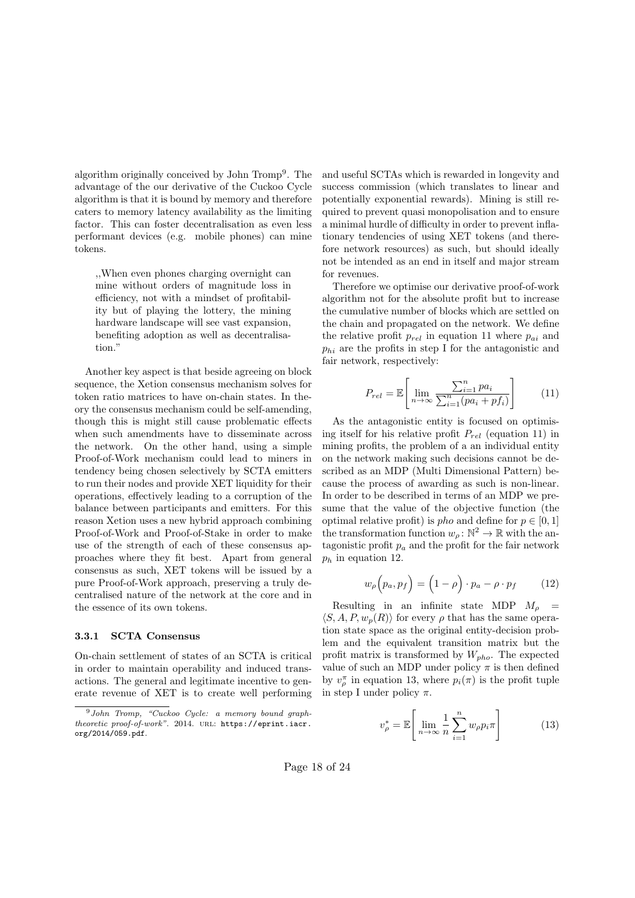algorithm originally conceived by John Tromp<sup>9</sup>. The advantage of the our derivative of the Cuckoo Cycle algorithm is that it is bound by memory and therefore caters to memory latency availability as the limiting factor. This can foster decentralisation as even less performant devices (e.g. mobile phones) can mine tokens.

,,When even phones charging overnight can mine without orders of magnitude loss in efficiency, not with a mindset of profitability but of playing the lottery, the mining hardware landscape will see vast expansion, benefiting adoption as well as decentralisation."

Another key aspect is that beside agreeing on block sequence, the Xetion consensus mechanism solves for token ratio matrices to have on-chain states. In theory the consensus mechanism could be self-amending, though this is might still cause problematic effects when such amendments have to disseminate across the network. On the other hand, using a simple Proof-of-Work mechanism could lead to miners in tendency being chosen selectively by SCTA emitters to run their nodes and provide XET liquidity for their operations, effectively leading to a corruption of the balance between participants and emitters. For this reason Xetion uses a new hybrid approach combining Proof-of-Work and Proof-of-Stake in order to make use of the strength of each of these consensus approaches where they fit best. Apart from general consensus as such, XET tokens will be issued by a pure Proof-of-Work approach, preserving a truly decentralised nature of the network at the core and in the essence of its own tokens.

#### 3.3.1 SCTA Consensus

On-chain settlement of states of an SCTA is critical in order to maintain operability and induced transactions. The general and legitimate incentive to generate revenue of XET is to create well performing and useful SCTAs which is rewarded in longevity and success commission (which translates to linear and potentially exponential rewards). Mining is still required to prevent quasi monopolisation and to ensure a minimal hurdle of difficulty in order to prevent inflationary tendencies of using XET tokens (and therefore network resources) as such, but should ideally not be intended as an end in itself and major stream for revenues.

Therefore we optimise our derivative proof-of-work algorithm not for the absolute profit but to increase the cumulative number of blocks which are settled on the chain and propagated on the network. We define the relative profit  $p_{rel}$  in equation 11 where  $p_{ai}$  and *phi* are the profits in step I for the antagonistic and fair network, respectively:

$$
P_{rel} = \mathbb{E}\left[\lim_{n \to \infty} \frac{\sum_{i=1}^{n} pa_i}{\sum_{i=1}^{n} (pa_i + pf_i)}\right]
$$
(11)

As the antagonistic entity is focused on optimising itself for his relative profit *Prel* (equation 11) in mining profits, the problem of a an individual entity on the network making such decisions cannot be described as an MDP (Multi Dimensional Pattern) because the process of awarding as such is non-linear. In order to be described in terms of an MDP we presume that the value of the objective function (the optimal relative profit) is *pho* and define for  $p \in [0, 1]$ the transformation function  $w_{\rho} : \mathbb{N}^2 \to \mathbb{R}$  with the antagonistic profit  $p_a$  and the profit for the fair network *p<sup>h</sup>* in equation 12.

$$
w_{\rho}\left(p_a, p_f\right) = \left(1 - \rho\right) \cdot p_a - \rho \cdot p_f \tag{12}
$$

Resulting in an infinite state MDP  $M_{\rho}$  =  $\langle S, A, P, w_p(R) \rangle$  for every  $\rho$  that has the same operation state space as the original entity-decision problem and the equivalent transition matrix but the profit matrix is transformed by *Wpho*. The expected value of such an MDP under policy  $\pi$  is then defined by  $v_{\rho}^{\pi}$  in equation 13, where  $p_i(\pi)$  is the profit tuple in step I under policy  $\pi$ .

$$
v_{\rho}^* = \mathbb{E}\left[\lim_{n \to \infty} \frac{1}{n} \sum_{i=1}^n w_{\rho} p_i \pi\right]
$$
 (13)

Page  $18$  of  $24$ 

<sup>9</sup>*John Tromp, "Cuckoo Cycle: a memory bound graphtheoretic proof-of-work".* 2014. URL: https://eprint.iacr. org/2014/059.pdf.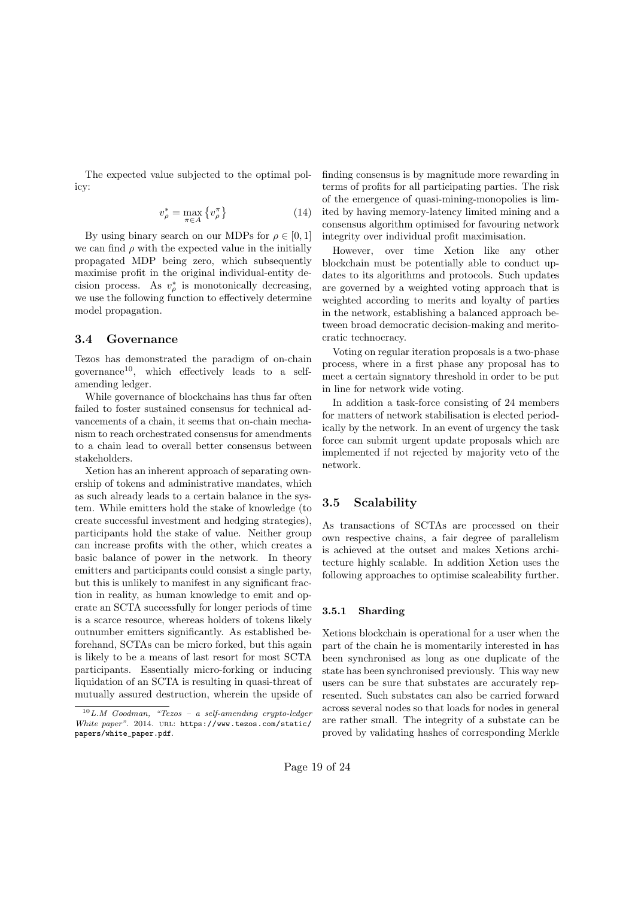The expected value subjected to the optimal policy:

$$
v_{\rho}^* = \max_{\pi \in A} \left\{ v_{\rho}^{\pi} \right\} \tag{14}
$$

By using binary search on our MDPs for  $\rho \in [0, 1]$ we can find  $\rho$  with the expected value in the initially propagated MDP being zero, which subsequently maximise profit in the original individual-entity decision process. As  $v_{\rho}^*$  is monotonically decreasing, we use the following function to effectively determine model propagation.

#### 3.4 Governance

Tezos has demonstrated the paradigm of on-chain governance<sup>10</sup>, which effectively leads to a selfamending ledger.

While governance of blockchains has thus far often failed to foster sustained consensus for technical advancements of a chain, it seems that on-chain mechanism to reach orchestrated consensus for amendments to a chain lead to overall better consensus between stakeholders.

Xetion has an inherent approach of separating ownership of tokens and administrative mandates, which as such already leads to a certain balance in the system. While emitters hold the stake of knowledge (to create successful investment and hedging strategies), participants hold the stake of value. Neither group can increase profits with the other, which creates a basic balance of power in the network. In theory emitters and participants could consist a single party, but this is unlikely to manifest in any significant fraction in reality, as human knowledge to emit and operate an SCTA successfully for longer periods of time is a scarce resource, whereas holders of tokens likely outnumber emitters significantly. As established beforehand, SCTAs can be micro forked, but this again is likely to be a means of last resort for most SCTA participants. Essentially micro-forking or inducing liquidation of an SCTA is resulting in quasi-threat of mutually assured destruction, wherein the upside of finding consensus is by magnitude more rewarding in terms of profits for all participating parties. The risk of the emergence of quasi-mining-monopolies is limited by having memory-latency limited mining and a consensus algorithm optimised for favouring network integrity over individual profit maximisation.

However, over time Xetion like any other blockchain must be potentially able to conduct updates to its algorithms and protocols. Such updates are governed by a weighted voting approach that is weighted according to merits and loyalty of parties in the network, establishing a balanced approach between broad democratic decision-making and meritocratic technocracy.

Voting on regular iteration proposals is a two-phase process, where in a first phase any proposal has to meet a certain signatory threshold in order to be put in line for network wide voting.

In addition a task-force consisting of 24 members for matters of network stabilisation is elected periodically by the network. In an event of urgency the task force can submit urgent update proposals which are implemented if not rejected by majority veto of the network.

### 3.5 Scalability

As transactions of SCTAs are processed on their own respective chains, a fair degree of parallelism is achieved at the outset and makes Xetions architecture highly scalable. In addition Xetion uses the following approaches to optimise scaleability further.

#### 3.5.1 Sharding

Xetions blockchain is operational for a user when the part of the chain he is momentarily interested in has been synchronised as long as one duplicate of the state has been synchronised previously. This way new users can be sure that substates are accurately represented. Such substates can also be carried forward across several nodes so that loads for nodes in general are rather small. The integrity of a substate can be proved by validating hashes of corresponding Merkle

<sup>10</sup>*L.M Goodman, "Tezos – a self-amending crypto-ledger White paper".* 2014. URL: https://www.tezos.com/static/ papers/white\_paper.pdf.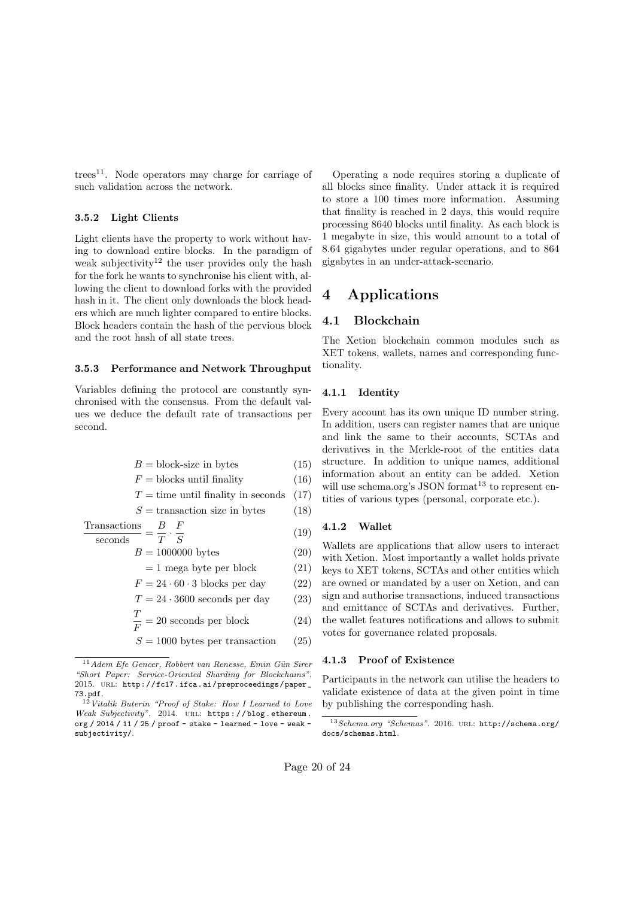trees<sup>11</sup>. Node operators may charge for carriage of such validation across the network.

#### 3.5.2 Light Clients

Light clients have the property to work without having to download entire blocks. In the paradigm of weak subjectivity<sup>12</sup> the user provides only the hash for the fork he wants to synchronise his client with, allowing the client to download forks with the provided hash in it. The client only downloads the block headers which are much lighter compared to entire blocks. Block headers contain the hash of the pervious block and the root hash of all state trees.

#### 3.5.3 Performance and Network Throughput

Variables defining the protocol are constantly synchronised with the consensus. From the default values we deduce the default rate of transactions per second.

$$
B = \text{block-size in bytes} \tag{15}
$$

$$
F = \text{blocks until finally} \tag{16}
$$

 $T =$  time until finality in seconds  $(17)$ 

$$
S = \text{transaction size in bytes} \tag{18}
$$

$$
\frac{\text{Transactions}}{\text{seconds}} = \frac{B}{T} \cdot \frac{F}{S} \tag{19}
$$

 $B = 1000000 \text{ bytes}$  (20)

 $= 1$  mega byte per block (21)

$$
F = 24 \cdot 60 \cdot 3 \text{ blocks per day} \tag{22}
$$

$$
T = 24 \cdot 3600
$$
 seconds per day (23)

$$
\frac{T}{1} - 20
$$
 seconds per block (24)

$$
\frac{1}{F} = 20 \text{ seconds per block} \tag{24}
$$

```
S = 1000 bytes per transaction (25)
```
Operating a node requires storing a duplicate of all blocks since finality. Under attack it is required to store a 100 times more information. Assuming that finality is reached in 2 days, this would require processing 8640 blocks until finality. As each block is 1 megabyte in size, this would amount to a total of 8.64 gigabytes under regular operations, and to 864 gigabytes in an under-attack-scenario.

### 4 Applications

### 4.1 Blockchain

The Xetion blockchain common modules such as XET tokens, wallets, names and corresponding functionality.

#### 4.1.1 Identity

Every account has its own unique ID number string. In addition, users can register names that are unique and link the same to their accounts, SCTAs and derivatives in the Merkle-root of the entities data structure. In addition to unique names, additional information about an entity can be added. Xetion will use schema.org's JSON format<sup>13</sup> to represent entities of various types (personal, corporate etc.).

#### 4.1.2 Wallet

Wallets are applications that allow users to interact with Xetion. Most importantly a wallet holds private keys to XET tokens, SCTAs and other entities which are owned or mandated by a user on Xetion, and can sign and authorise transactions, induced transactions and emittance of SCTAs and derivatives. Further, the wallet features notifications and allows to submit votes for governance related proposals.

#### 4.1.3 Proof of Existence

Participants in the network can utilise the headers to validate existence of data at the given point in time by publishing the corresponding hash.

<sup>11</sup>*Adem Efe Gencer, Robbert van Renesse, Emin G¨un Sirer "Short Paper: Service-Oriented Sharding for Blockchains"*. 2015. URL: http://fc17.ifca.ai/preproceedings/paper\_ 73.pdf.

<sup>12</sup>*Vitalik Buterin "Proof of Stake: How I Learned to Love Weak Subjectivity"*. 2014. url: https : / / blog . ethereum . org / 2014 / 11 / 25 / proof - stake - learned - love - weak subjectivity/.

<sup>13</sup>*Schema.org "Schemas"*. 2016. url: http://schema.org/ docs/schemas.html.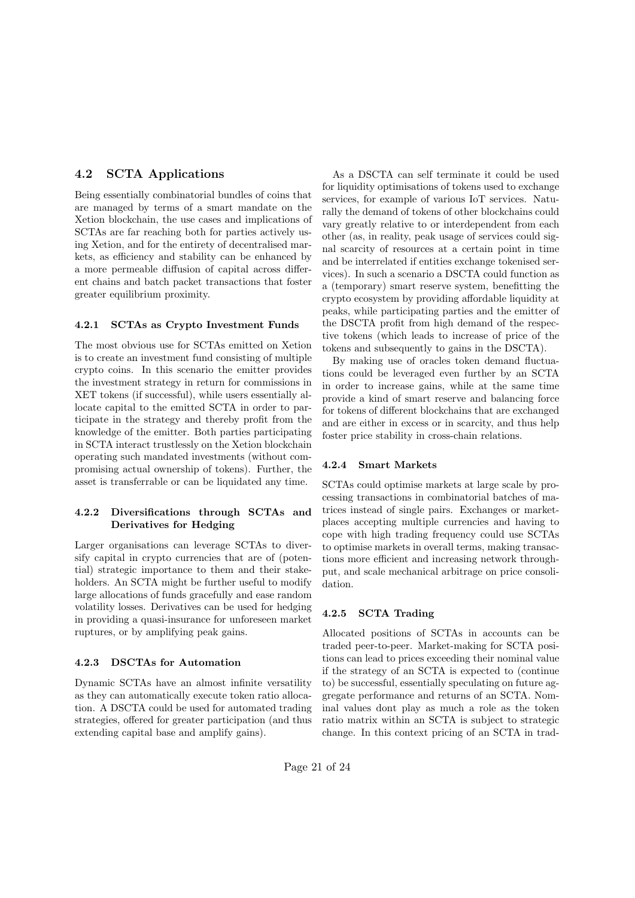### 4.2 SCTA Applications

Being essentially combinatorial bundles of coins that are managed by terms of a smart mandate on the Xetion blockchain, the use cases and implications of SCTAs are far reaching both for parties actively using Xetion, and for the entirety of decentralised markets, as efficiency and stability can be enhanced by a more permeable diffusion of capital across different chains and batch packet transactions that foster greater equilibrium proximity.

#### 4.2.1 SCTAs as Crypto Investment Funds

The most obvious use for SCTAs emitted on Xetion is to create an investment fund consisting of multiple crypto coins. In this scenario the emitter provides the investment strategy in return for commissions in XET tokens (if successful), while users essentially allocate capital to the emitted SCTA in order to participate in the strategy and thereby profit from the knowledge of the emitter. Both parties participating in SCTA interact trustlessly on the Xetion blockchain operating such mandated investments (without compromising actual ownership of tokens). Further, the asset is transferrable or can be liquidated any time.

### 4.2.2 Diversifications through SCTAs and Derivatives for Hedging

Larger organisations can leverage SCTAs to diversify capital in crypto currencies that are of (potential) strategic importance to them and their stakeholders. An SCTA might be further useful to modify large allocations of funds gracefully and ease random volatility losses. Derivatives can be used for hedging in providing a quasi-insurance for unforeseen market ruptures, or by amplifying peak gains.

#### 4.2.3 DSCTAs for Automation

Dynamic SCTAs have an almost infinite versatility as they can automatically execute token ratio allocation. A DSCTA could be used for automated trading strategies, offered for greater participation (and thus extending capital base and amplify gains).

As a DSCTA can self terminate it could be used for liquidity optimisations of tokens used to exchange services, for example of various IoT services. Naturally the demand of tokens of other blockchains could vary greatly relative to or interdependent from each other (as, in reality, peak usage of services could signal scarcity of resources at a certain point in time and be interrelated if entities exchange tokenised services). In such a scenario a DSCTA could function as a (temporary) smart reserve system, benefitting the crypto ecosystem by providing affordable liquidity at peaks, while participating parties and the emitter of the DSCTA profit from high demand of the respective tokens (which leads to increase of price of the tokens and subsequently to gains in the DSCTA).

By making use of oracles token demand fluctuations could be leveraged even further by an SCTA in order to increase gains, while at the same time provide a kind of smart reserve and balancing force for tokens of different blockchains that are exchanged and are either in excess or in scarcity, and thus help foster price stability in cross-chain relations.

#### 4.2.4 Smart Markets

SCTAs could optimise markets at large scale by processing transactions in combinatorial batches of matrices instead of single pairs. Exchanges or marketplaces accepting multiple currencies and having to cope with high trading frequency could use SCTAs to optimise markets in overall terms, making transactions more efficient and increasing network throughput, and scale mechanical arbitrage on price consolidation.

#### 4.2.5 SCTA Trading

Allocated positions of SCTAs in accounts can be traded peer-to-peer. Market-making for SCTA positions can lead to prices exceeding their nominal value if the strategy of an SCTA is expected to (continue to) be successful, essentially speculating on future aggregate performance and returns of an SCTA. Nominal values dont play as much a role as the token ratio matrix within an SCTA is subject to strategic change. In this context pricing of an SCTA in trad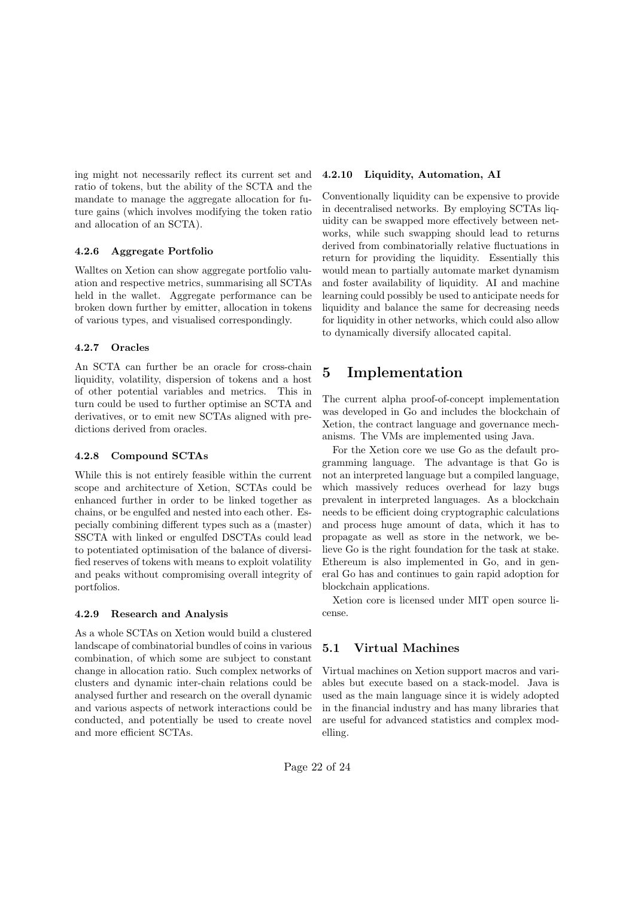ing might not necessarily reflect its current set and ratio of tokens, but the ability of the SCTA and the mandate to manage the aggregate allocation for future gains (which involves modifying the token ratio and allocation of an SCTA).

#### 4.2.6 Aggregate Portfolio

Walltes on Xetion can show aggregate portfolio valuation and respective metrics, summarising all SCTAs held in the wallet. Aggregate performance can be broken down further by emitter, allocation in tokens of various types, and visualised correspondingly.

#### 4.2.7 Oracles

An SCTA can further be an oracle for cross-chain liquidity, volatility, dispersion of tokens and a host of other potential variables and metrics. This in turn could be used to further optimise an SCTA and derivatives, or to emit new SCTAs aligned with predictions derived from oracles.

#### 4.2.8 Compound SCTAs

While this is not entirely feasible within the current scope and architecture of Xetion, SCTAs could be enhanced further in order to be linked together as chains, or be engulfed and nested into each other. Especially combining different types such as a (master) SSCTA with linked or engulfed DSCTAs could lead to potentiated optimisation of the balance of diversified reserves of tokens with means to exploit volatility and peaks without compromising overall integrity of portfolios.

#### 4.2.9 Research and Analysis

As a whole SCTAs on Xetion would build a clustered landscape of combinatorial bundles of coins in various combination, of which some are subject to constant change in allocation ratio. Such complex networks of clusters and dynamic inter-chain relations could be analysed further and research on the overall dynamic and various aspects of network interactions could be conducted, and potentially be used to create novel and more efficient SCTAs.

### 4.2.10 Liquidity, Automation, AI

Conventionally liquidity can be expensive to provide in decentralised networks. By employing SCTAs liquidity can be swapped more effectively between networks, while such swapping should lead to returns derived from combinatorially relative fluctuations in return for providing the liquidity. Essentially this would mean to partially automate market dynamism and foster availability of liquidity. AI and machine learning could possibly be used to anticipate needs for liquidity and balance the same for decreasing needs for liquidity in other networks, which could also allow to dynamically diversify allocated capital.

# 5 Implementation

The current alpha proof-of-concept implementation was developed in Go and includes the blockchain of Xetion, the contract language and governance mechanisms. The VMs are implemented using Java.

For the Xetion core we use Go as the default programming language. The advantage is that Go is not an interpreted language but a compiled language, which massively reduces overhead for lazy bugs prevalent in interpreted languages. As a blockchain needs to be efficient doing cryptographic calculations and process huge amount of data, which it has to propagate as well as store in the network, we believe Go is the right foundation for the task at stake. Ethereum is also implemented in Go, and in general Go has and continues to gain rapid adoption for blockchain applications.

Xetion core is licensed under MIT open source license.

### 5.1 Virtual Machines

Virtual machines on Xetion support macros and variables but execute based on a stack-model. Java is used as the main language since it is widely adopted in the financial industry and has many libraries that are useful for advanced statistics and complex modelling.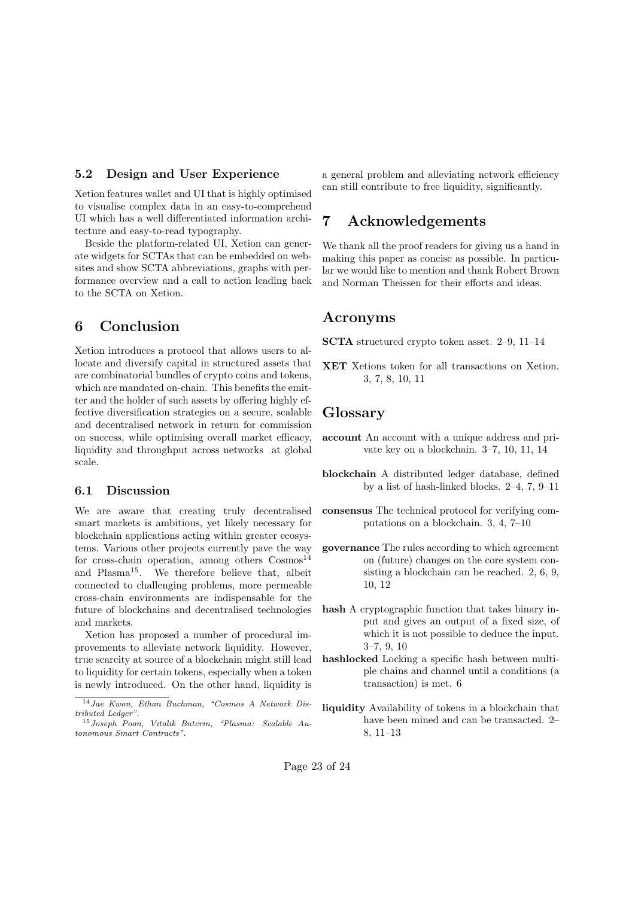#### 5.2 Design and User Experience

Xetion features wallet and UI that is highly optimised to visualise complex data in an easy-to-comprehend UI which has a well differentiated information architecture and easy-to-read typography.

Beside the platform-related UI, Xetion can generate widgets for SCTAs that can be embedded on websites and show SCTA abbreviations, graphs with performance overview and a call to action leading back to the SCTA on Xetion.

# 6 Conclusion

Xetion introduces a protocol that allows users to allocate and diversify capital in structured assets that are combinatorial bundles of crypto coins and tokens, which are mandated on-chain. This benefits the emitter and the holder of such assets by offering highly effective diversification strategies on a secure, scalable and decentralised network in return for commission on success, while optimising overall market efficacy, liquidity and throughput across networks at global scale.

#### 6.1 Discussion

We are aware that creating truly decentralised smart markets is ambitious, yet likely necessary for blockchain applications acting within greater ecosystems. Various other projects currently pave the way for cross-chain operation, among others  $\text{Cosmos}^{14}$ and Plasma<sup>15</sup>. We therefore believe that, albeit connected to challenging problems, more permeable cross-chain environments are indispensable for the future of blockchains and decentralised technologies and markets.

Xetion has proposed a number of procedural improvements to alleviate network liquidity. However, true scarcity at source of a blockchain might still lead to liquidity for certain tokens, especially when a token is newly introduced. On the other hand, liquidity is

a general problem and alleviating network efficiency can still contribute to free liquidity, significantly.

### 7 Acknowledgements

We thank all the proof readers for giving us a hand in making this paper as concise as possible. In particular we would like to mention and thank Robert Brown and Norman Theissen for their efforts and ideas.

### Acronyms

SCTA structured crypto token asset. 2–9, 11–14

XET Xetions token for all transactions on Xetion. 3, 7, 8, 10, 11

### Glossary

- account An account with a unique address and private key on a blockchain. 3–7, 10, 11, 14
- blockchain A distributed ledger database, defined by a list of hash-linked blocks. 2–4, 7, 9–11
- consensus The technical protocol for verifying computations on a blockchain. 3, 4, 7–10
- governance The rules according to which agreement on (future) changes on the core system consisting a blockchain can be reached. 2, 6, 9, 10, 12
- hash A cryptographic function that takes binary input and gives an output of a fixed size, of which it is not possible to deduce the input. 3–7, 9, 10
- hashlocked Locking a specific hash between multiple chains and channel until a conditions (a transaction) is met. 6
- liquidity Availability of tokens in a blockchain that have been mined and can be transacted. 2– 8, 11–13

<sup>14</sup>*Jae Kwon, Ethan Buchman, "Cosmos A Network Distributed Ledger"*.

<sup>15</sup>*Joseph Poon, Vitalik Buterin, "Plasma: Scalable Autonomous Smart Contracts"*.